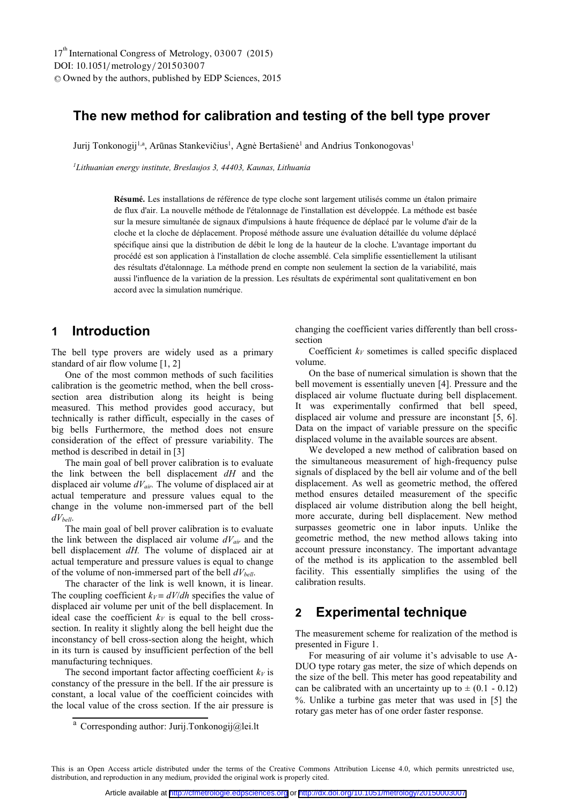# **The new method for calibration and testing of the bell type prover**

Jurij Tonkonogij<sup>1,a</sup>, Arūnas Stankevičius<sup>1</sup>, Agnė Bertašienė<sup>1</sup> and Andrius Tonkonogovas<sup>1</sup>

*1Lithuanian energy institute, Breslaujos 3, 44403, Kaunas, Lithuania* 

**Résumé.** Les installations de référence de type cloche sont largement utilisés comme un étalon primaire de flux d'air. La nouvelle méthode de l'étalonnage de l'installation est développée. La méthode est basée sur la mesure simultanée de signaux d'impulsions à haute fréquence de déplacé par le volume d'air de la cloche et la cloche de déplacement. Proposé méthode assure une évaluation détaillée du volume déplacé spécifique ainsi que la distribution de débit le long de la hauteur de la cloche. L'avantage important du procédé est son application à l'installation de cloche assemblé. Cela simplifie essentiellement la utilisant des résultats d'étalonnage. La méthode prend en compte non seulement la section de la variabilité, mais aussi l'influence de la variation de la pression. Les résultats de expérimental sont qualitativement en bon accord avec la simulation numérique.

# **1 Introduction**

The bell type provers are widely used as a primary standard of air flow volume [1, 2]

One of the most common methods of such facilities calibration is the geometric method, when the bell crosssection area distribution along its height is being measured. This method provides good accuracy, but technically is rather difficult, especially in the cases of big bells Furthermore, the method does not ensure consideration of the effect of pressure variability. The method is described in detail in [3]

The main goal of bell prover calibration is to evaluate the link between the bell displacement *dH* and the displaced air volume *dVair.* The volume of displaced air at actual temperature and pressure values equal to the change in the volume non-immersed part of the bell *dVbell*.

The main goal of bell prover calibration is to evaluate the link between the displaced air volume *dVair* and the bell displacement *dH.* The volume of displaced air at actual temperature and pressure values is equal to change of the volume of non-immersed part of the bell *dVbell*.

The character of the link is well known, it is linear. The coupling coefficient  $k_V = dV/dh$  specifies the value of displaced air volume per unit of the bell displacement. In ideal case the coefficient  $k_V$  is equal to the bell crosssection. In reality it slightly along the bell height due the inconstancy of bell cross-section along the height, which in its turn is caused by insufficient perfection of the bell manufacturing techniques.

The second important factor affecting coefficient  $k_V$  is constancy of the pressure in the bell. If the air pressure is constant, a local value of the coefficient coincides with the local value of the cross section. If the air pressure is

a Corresponding author: Jurij.Tonkonogij@lei.lt

changing the coefficient varies differently than bell crosssection

Coefficient  $k_V$  sometimes is called specific displaced volume.

On the base of numerical simulation is shown that the bell movement is essentially uneven [4]. Pressure and the displaced air volume fluctuate during bell displacement. It was experimentally confirmed that bell speed, displaced air volume and pressure are inconstant [5, 6]. Data on the impact of variable pressure on the specific displaced volume in the available sources are absent.

We developed a new method of calibration based on the simultaneous measurement of high-frequency pulse signals of displaced by the bell air volume and of the bell displacement. As well as geometric method, the offered method ensures detailed measurement of the specific displaced air volume distribution along the bell height, more accurate, during bell displacement. New method surpasses geometric one in labor inputs. Unlike the geometric method, the new method allows taking into account pressure inconstancy. The important advantage of the method is its application to the assembled bell facility. This essentially simplifies the using of the calibration results.

### **2 Experimental technique**

The measurement scheme for realization of the method is presented in Figure 1.

For measuring of air volume it's advisable to use A-DUO type rotary gas meter, the size of which depends on the size of the bell. This meter has good repeatability and can be calibrated with an uncertainty up to  $\pm$  (0.1 - 0.12) . Unlike a turbine gas meter that was used in [5] the rotary gas meter has of one order faster response.

This is an Open Access article distributed under the terms of the Creative Commons Attribution License 4.0, which permits unrestricted use, distribution, and reproduction in any medium, provided the original work is properly cited.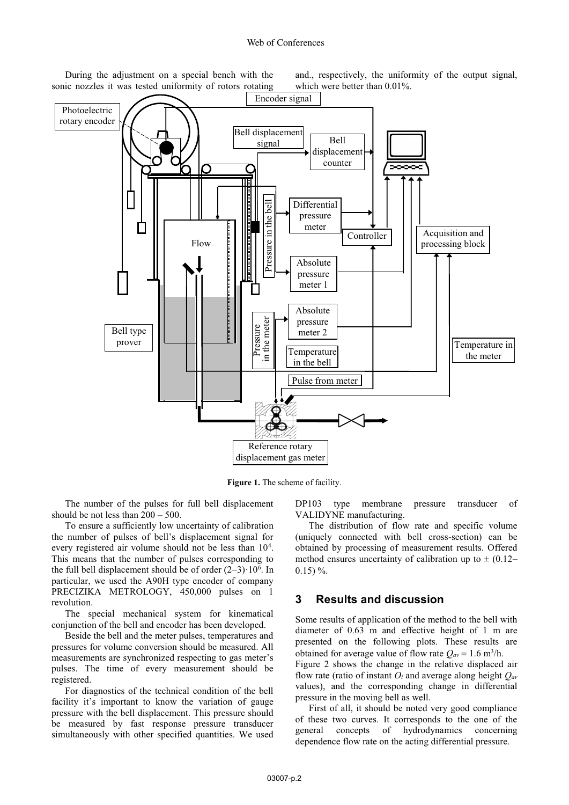During the adjustment on a special bench with the sonic nozzles it was tested uniformity of rotors rotating and., respectively, the uniformity of the output signal, which were better than 0.01%.



**Figure 1.** The scheme of facility.

The number of the pulses for full bell displacement should be not less than 200 – 500.

To ensure a sufficiently low uncertainty of calibration the number of pulses of bell's displacement signal for every registered air volume should not be less than 10<sup>4</sup>. This means that the number of pulses corresponding to the full bell displacement should be of order  $(2-3) \cdot 10^6$ . In particular, we used the A90H type encoder of company PRECIZIKA METROLOGY, 450,000 pulses on 1 revolution.

The special mechanical system for kinematical conjunction of the bell and encoder has been developed.

Beside the bell and the meter pulses, temperatures and pressures for volume conversion should be measured. All measurements are synchronized respecting to gas meter's pulses. The time of every measurement should be registered.

For diagnostics of the technical condition of the bell facility it's important to know the variation of gauge pressure with the bell displacement. This pressure should be measured by fast response pressure transducer simultaneously with other specified quantities. We used

DP103 type membrane pressure transducer of VALIDYNE manufacturing.

The distribution of flow rate and specific volume (uniquely connected with bell cross-section) can be obtained by processing of measurement results. Offered method ensures uncertainty of calibration up to  $\pm$  (0.12–  $0.15$ ) %.

#### **3 Results and discussion**

Some results of application of the method to the bell with diameter of 0.63 m and effective height of 1 m are presented on the following plots. These results are obtained for average value of flow rate  $Q_{av} = 1.6 \text{ m}^3/\text{h}$ .

Figure 2 shows the change in the relative displaced air flow rate (ratio of instant *Oi* and average along height *Qav* values), and the corresponding change in differential pressure in the moving bell as well.

First of all, it should be noted very good compliance of these two curves. It corresponds to the one of the general concepts of hydrodynamics concerning dependence flow rate on the acting differential pressure.